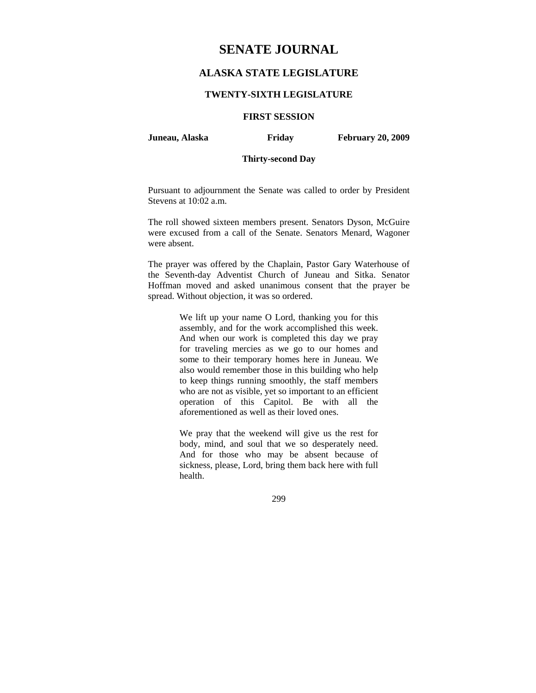# **SENATE JOURNAL**

## **ALASKA STATE LEGISLATURE**

#### **TWENTY-SIXTH LEGISLATURE**

### **FIRST SESSION**

**Juneau, Alaska Friday February 20, 2009** 

### **Thirty-second Day**

Pursuant to adjournment the Senate was called to order by President Stevens at 10:02 a.m.

The roll showed sixteen members present. Senators Dyson, McGuire were excused from a call of the Senate. Senators Menard, Wagoner were absent.

The prayer was offered by the Chaplain, Pastor Gary Waterhouse of the Seventh-day Adventist Church of Juneau and Sitka. Senator Hoffman moved and asked unanimous consent that the prayer be spread. Without objection, it was so ordered.

> We lift up your name O Lord, thanking you for this assembly, and for the work accomplished this week. And when our work is completed this day we pray for traveling mercies as we go to our homes and some to their temporary homes here in Juneau. We also would remember those in this building who help to keep things running smoothly, the staff members who are not as visible, yet so important to an efficient operation of this Capitol. Be with all the aforementioned as well as their loved ones.

> We pray that the weekend will give us the rest for body, mind, and soul that we so desperately need. And for those who may be absent because of sickness, please, Lord, bring them back here with full health.

> > 299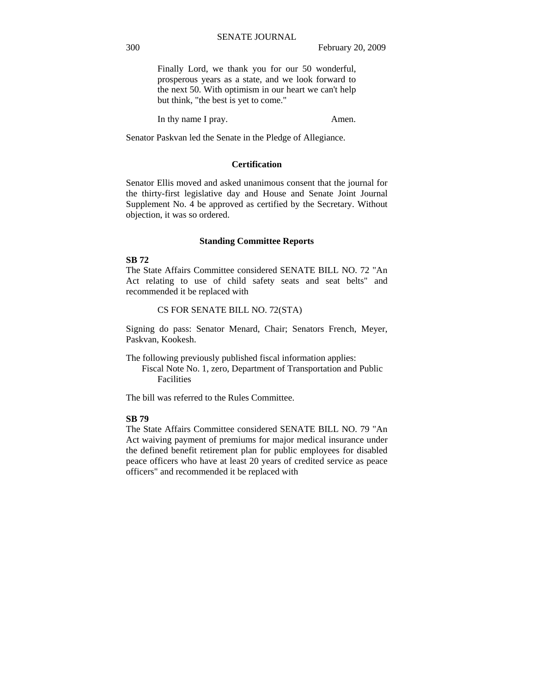Finally Lord, we thank you for our 50 wonderful, prosperous years as a state, and we look forward to the next 50. With optimism in our heart we can't help but think, "the best is yet to come."

In thy name I pray. Amen.

Senator Paskvan led the Senate in the Pledge of Allegiance.

#### **Certification**

Senator Ellis moved and asked unanimous consent that the journal for the thirty-first legislative day and House and Senate Joint Journal Supplement No. 4 be approved as certified by the Secretary. Without objection, it was so ordered.

#### **Standing Committee Reports**

### **SB 72**

The State Affairs Committee considered SENATE BILL NO. 72 "An Act relating to use of child safety seats and seat belts" and recommended it be replaced with

#### CS FOR SENATE BILL NO. 72(STA)

Signing do pass: Senator Menard, Chair; Senators French, Meyer, Paskvan, Kookesh.

The following previously published fiscal information applies:

 Fiscal Note No. 1, zero, Department of Transportation and Public Facilities

The bill was referred to the Rules Committee.

### **SB 79**

The State Affairs Committee considered SENATE BILL NO. 79 "An Act waiving payment of premiums for major medical insurance under the defined benefit retirement plan for public employees for disabled peace officers who have at least 20 years of credited service as peace officers" and recommended it be replaced with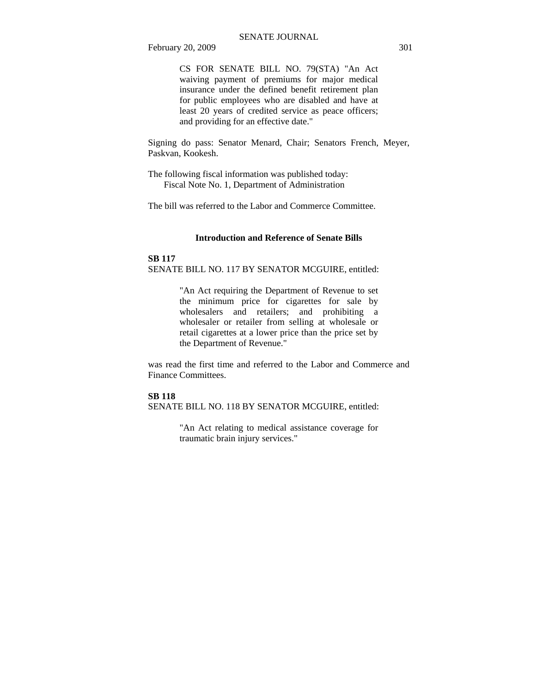February 20, 2009 301

CS FOR SENATE BILL NO. 79(STA) "An Act waiving payment of premiums for major medical insurance under the defined benefit retirement plan for public employees who are disabled and have at least 20 years of credited service as peace officers; and providing for an effective date."

Signing do pass: Senator Menard, Chair; Senators French, Meyer, Paskvan, Kookesh.

The following fiscal information was published today: Fiscal Note No. 1, Department of Administration

The bill was referred to the Labor and Commerce Committee.

#### **Introduction and Reference of Senate Bills**

### **SB 117** SENATE BILL NO. 117 BY SENATOR MCGUIRE, entitled:

"An Act requiring the Department of Revenue to set the minimum price for cigarettes for sale by wholesalers and retailers; and prohibiting a wholesaler or retailer from selling at wholesale or retail cigarettes at a lower price than the price set by the Department of Revenue."

was read the first time and referred to the Labor and Commerce and Finance Committees.

#### **SB 118**

SENATE BILL NO. 118 BY SENATOR MCGUIRE, entitled:

"An Act relating to medical assistance coverage for traumatic brain injury services."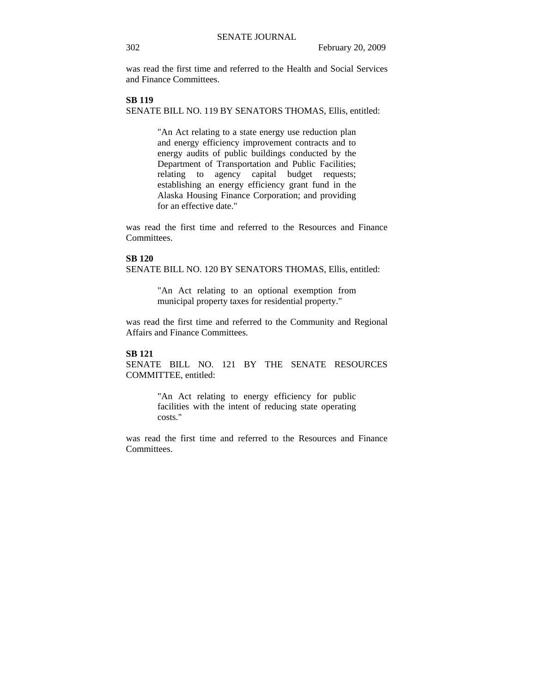was read the first time and referred to the Health and Social Services and Finance Committees.

### **SB 119**

SENATE BILL NO. 119 BY SENATORS THOMAS, Ellis, entitled:

"An Act relating to a state energy use reduction plan and energy efficiency improvement contracts and to energy audits of public buildings conducted by the Department of Transportation and Public Facilities; relating to agency capital budget requests; establishing an energy efficiency grant fund in the Alaska Housing Finance Corporation; and providing for an effective date."

was read the first time and referred to the Resources and Finance Committees.

#### **SB 120**

SENATE BILL NO. 120 BY SENATORS THOMAS, Ellis, entitled:

"An Act relating to an optional exemption from municipal property taxes for residential property."

was read the first time and referred to the Community and Regional Affairs and Finance Committees.

#### **SB 121**

SENATE BILL NO. 121 BY THE SENATE RESOURCES COMMITTEE, entitled:

> "An Act relating to energy efficiency for public facilities with the intent of reducing state operating costs."

was read the first time and referred to the Resources and Finance Committees.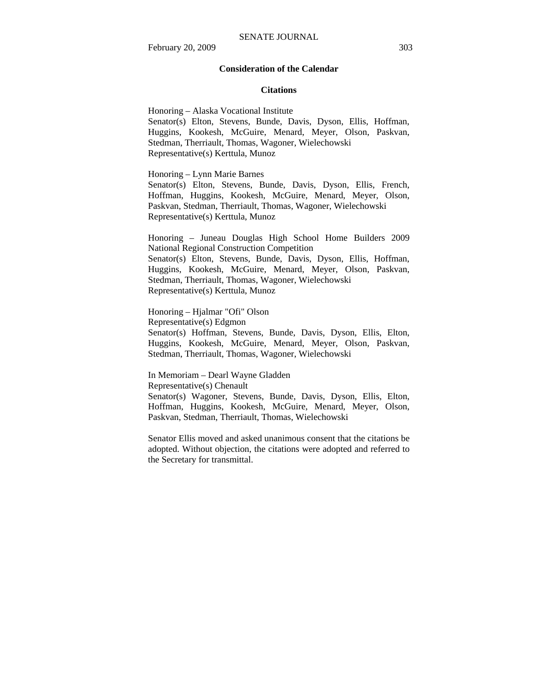#### **Consideration of the Calendar**

#### **Citations**

Honoring – Alaska Vocational Institute Senator(s) Elton, Stevens, Bunde, Davis, Dyson, Ellis, Hoffman, Huggins, Kookesh, McGuire, Menard, Meyer, Olson, Paskvan, Stedman, Therriault, Thomas, Wagoner, Wielechowski Representative(s) Kerttula, Munoz

Honoring – Lynn Marie Barnes

Senator(s) Elton, Stevens, Bunde, Davis, Dyson, Ellis, French, Hoffman, Huggins, Kookesh, McGuire, Menard, Meyer, Olson, Paskvan, Stedman, Therriault, Thomas, Wagoner, Wielechowski Representative(s) Kerttula, Munoz

Honoring – Juneau Douglas High School Home Builders 2009 National Regional Construction Competition Senator(s) Elton, Stevens, Bunde, Davis, Dyson, Ellis, Hoffman, Huggins, Kookesh, McGuire, Menard, Meyer, Olson, Paskvan, Stedman, Therriault, Thomas, Wagoner, Wielechowski Representative(s) Kerttula, Munoz

Honoring – Hjalmar "Ofi" Olson Representative(s) Edgmon Senator(s) Hoffman, Stevens, Bunde, Davis, Dyson, Ellis, Elton, Huggins, Kookesh, McGuire, Menard, Meyer, Olson, Paskvan, Stedman, Therriault, Thomas, Wagoner, Wielechowski

In Memoriam – Dearl Wayne Gladden Representative(s) Chenault

Senator(s) Wagoner, Stevens, Bunde, Davis, Dyson, Ellis, Elton, Hoffman, Huggins, Kookesh, McGuire, Menard, Meyer, Olson, Paskvan, Stedman, Therriault, Thomas, Wielechowski

Senator Ellis moved and asked unanimous consent that the citations be adopted. Without objection, the citations were adopted and referred to the Secretary for transmittal.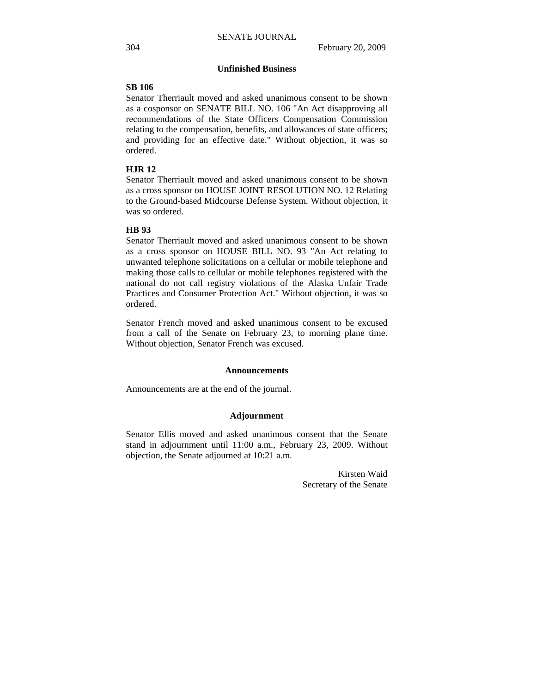#### **Unfinished Business**

### **SB 106**

Senator Therriault moved and asked unanimous consent to be shown as a cosponsor on SENATE BILL NO. 106 "An Act disapproving all recommendations of the State Officers Compensation Commission relating to the compensation, benefits, and allowances of state officers; and providing for an effective date." Without objection, it was so ordered.

### **HJR 12**

Senator Therriault moved and asked unanimous consent to be shown as a cross sponsor on HOUSE JOINT RESOLUTION NO. 12 Relating to the Ground-based Midcourse Defense System. Without objection, it was so ordered.

#### **HB 93**

Senator Therriault moved and asked unanimous consent to be shown as a cross sponsor on HOUSE BILL NO. 93 "An Act relating to unwanted telephone solicitations on a cellular or mobile telephone and making those calls to cellular or mobile telephones registered with the national do not call registry violations of the Alaska Unfair Trade Practices and Consumer Protection Act." Without objection, it was so ordered.

Senator French moved and asked unanimous consent to be excused from a call of the Senate on February 23, to morning plane time. Without objection, Senator French was excused.

#### **Announcements**

Announcements are at the end of the journal.

#### **Adjournment**

Senator Ellis moved and asked unanimous consent that the Senate stand in adjournment until 11:00 a.m., February 23, 2009. Without objection, the Senate adjourned at 10:21 a.m.

> Kirsten Waid Secretary of the Senate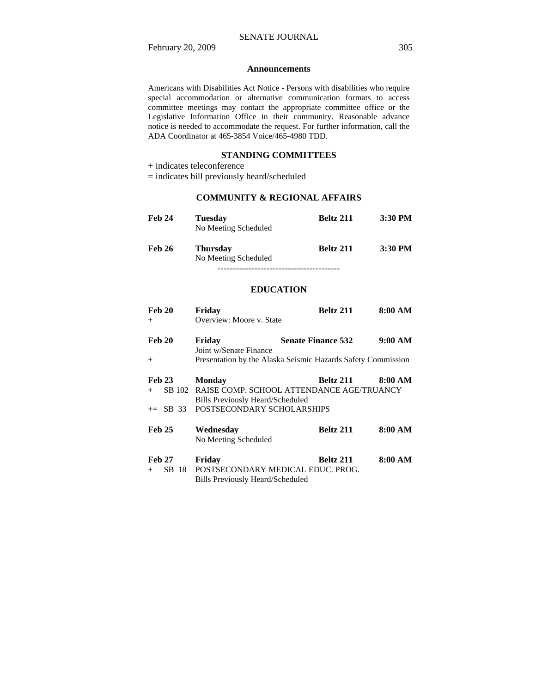February 20, 2009 305

#### **Announcements**

Americans with Disabilities Act Notice - Persons with disabilities who require special accommodation or alternative communication formats to access committee meetings may contact the appropriate committee office or the Legislative Information Office in their community. Reasonable advance notice is needed to accommodate the request. For further information, call the ADA Coordinator at 465-3854 Voice/465-4980 TDD.

### **STANDING COMMITTEES**

+ indicates teleconference

= indicates bill previously heard/scheduled

## **COMMUNITY & REGIONAL AFFAIRS**

| <b>Feb 24</b> | <b>Tuesday</b><br>No Meeting Scheduled  | <b>Beltz 211</b> | 3:30 PM   |
|---------------|-----------------------------------------|------------------|-----------|
| <b>Feb 26</b> | <b>Thursday</b><br>No Meeting Scheduled | <b>Beltz 211</b> | $3:30$ PM |
|               |                                         |                  |           |

**EDUCATION**

| Feb 20          | Friday                                  | <b>Beltz 211</b>                                             | 8:00 AM |
|-----------------|-----------------------------------------|--------------------------------------------------------------|---------|
| $+$             | Overview: Moore v. State                |                                                              |         |
| <b>Feb 20</b>   | Friday                                  | <b>Senate Finance 532</b>                                    | 9:00 AM |
|                 | Joint w/Senate Finance                  |                                                              |         |
| $+$             |                                         | Presentation by the Alaska Seismic Hazards Safety Commission |         |
| <b>Feb 23</b>   | <b>Monday</b>                           | Beltz 211                                                    | 8:00 AM |
| SB 102<br>$+$   |                                         | RAISE COMP. SCHOOL ATTENDANCE AGE/TRUANCY                    |         |
|                 | <b>Bills Previously Heard/Scheduled</b> |                                                              |         |
| $\pm =$ SB 33   | POSTSECONDARY SCHOLARSHIPS              |                                                              |         |
| <b>Feb 25</b>   | Wednesday                               | <b>Beltz 211</b>                                             | 8:00 AM |
|                 | No Meeting Scheduled                    |                                                              |         |
| <b>Feb 27</b>   | Friday                                  | <b>Beltz 211</b>                                             | 8:00 AM |
| SB 18<br>$^{+}$ | POSTSECONDARY MEDICAL EDUC. PROG.       |                                                              |         |
|                 | <b>Bills Previously Heard/Scheduled</b> |                                                              |         |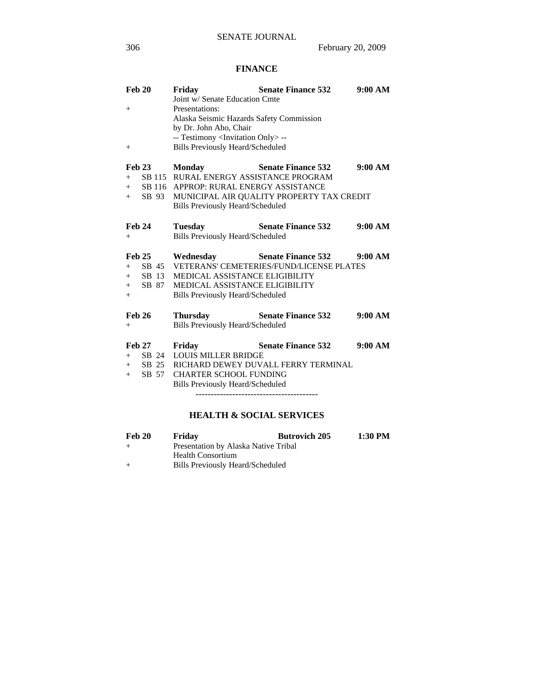## **FINANCE**

|               | Feb 20        | Friday                                           | <b>Senate Finance 532</b>                                                                | 9:00 AM |
|---------------|---------------|--------------------------------------------------|------------------------------------------------------------------------------------------|---------|
|               |               | Joint w/ Senate Education Cmte                   |                                                                                          |         |
| $^{+}$        |               | Presentations:                                   |                                                                                          |         |
|               |               | Alaska Seismic Hazards Safety Commission         |                                                                                          |         |
|               |               | by Dr. John Aho, Chair                           |                                                                                          |         |
|               |               | -- Testimony <invitation only="">--</invitation> |                                                                                          |         |
| $^{+}$        |               | <b>Bills Previously Heard/Scheduled</b>          |                                                                                          |         |
|               | <b>Feb 23</b> | <b>Monday</b>                                    | <b>Senate Finance 532</b>                                                                | 9:00 AM |
|               |               | + SB 115 RURAL ENERGY ASSISTANCE PROGRAM         |                                                                                          |         |
|               |               | + SB 116 APPROP: RURAL ENERGY ASSISTANCE         |                                                                                          |         |
|               |               |                                                  | + SB 93 MUNICIPAL AIR QUALITY PROPERTY TAX CREDIT                                        |         |
|               |               | <b>Bills Previously Heard/Scheduled</b>          |                                                                                          |         |
| <b>Feb 24</b> |               | <b>Tuesday</b>                                   | <b>Senate Finance 532</b>                                                                | 9:00 AM |
| $+$           |               | <b>Bills Previously Heard/Scheduled</b>          |                                                                                          |         |
|               |               |                                                  |                                                                                          |         |
|               |               |                                                  |                                                                                          |         |
| <b>Feb 25</b> |               |                                                  |                                                                                          |         |
|               |               |                                                  | Wednesday Senate Finance 532 9:00 AM<br>+ SB 45 VETERANS' CEMETERIES/FUND/LICENSE PLATES |         |
|               |               | + SB 13 MEDICAL ASSISTANCE ELIGIBILITY           |                                                                                          |         |
|               | $+$ SB 87     | <b>MEDICAL ASSISTANCE ELIGIBILITY</b>            |                                                                                          |         |
| $+$           |               | <b>Bills Previously Heard/Scheduled</b>          |                                                                                          |         |
|               |               |                                                  |                                                                                          |         |
| <b>Feb 26</b> |               | Thursday                                         | <b>Senate Finance 532</b>                                                                | 9:00 AM |
| $^{+}$        |               | <b>Bills Previously Heard/Scheduled</b>          |                                                                                          |         |
|               | <b>Feb 27</b> | Friday                                           | <b>Senate Finance 532</b>                                                                | 9:00 AM |
|               |               | + SB 24 LOUIS MILLER BRIDGE                      |                                                                                          |         |
|               |               |                                                  | + SB 25 RICHARD DEWEY DUVALL FERRY TERMINAL                                              |         |
| $+$           | SB 57         | <b>CHARTER SCHOOL FUNDING</b>                    |                                                                                          |         |
|               |               | <b>Bills Previously Heard/Scheduled</b>          |                                                                                          |         |
|               |               |                                                  |                                                                                          |         |

# **HEALTH & SOCIAL SERVICES**

| Feb 20 | Friday                               | <b>Butrovich 205</b> | 1:30 PM |
|--------|--------------------------------------|----------------------|---------|
| $^{+}$ | Presentation by Alaska Native Tribal |                      |         |
|        | <b>Health Consortium</b>             |                      |         |
| $^{+}$ | Bills Previously Heard/Scheduled     |                      |         |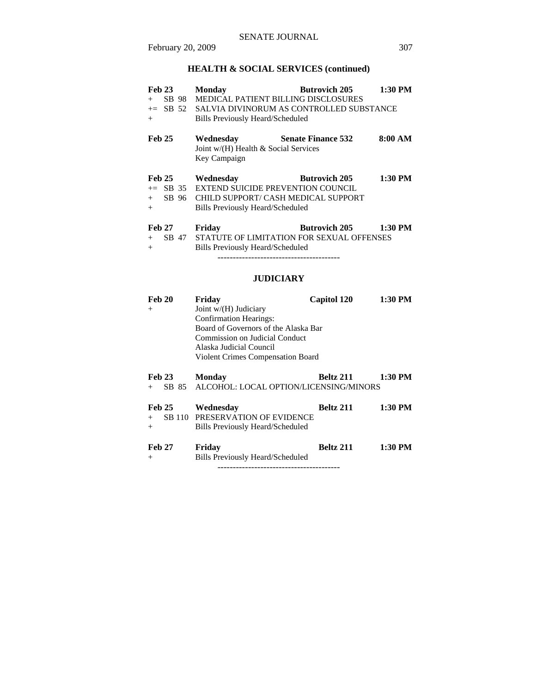# **HEALTH & SOCIAL SERVICES (continued)**

| <b>Feb 23</b> | <b>Monday</b>                              | $1:30$ PM<br><b>Butrovich 205</b>    |  |
|---------------|--------------------------------------------|--------------------------------------|--|
| SB 98<br>$+$  | <b>MEDICAL PATIENT BILLING DISCLOSURES</b> |                                      |  |
| $+=$ SB 52    | SALVIA DIVINORUM AS CONTROLLED SUBSTANCE   |                                      |  |
| $+$           | <b>Bills Previously Heard/Scheduled</b>    |                                      |  |
| <b>Feb 25</b> | Wednesday                                  | 8:00 AM<br><b>Senate Finance 532</b> |  |
|               | Joint w/(H) Health & Social Services       |                                      |  |
|               | Key Campaign                               |                                      |  |
| <b>Feb 25</b> | Wednesday                                  | $1:30$ PM<br><b>Butrovich 205</b>    |  |
| SB 35<br>$+=$ | <b>EXTEND SUICIDE PREVENTION COUNCIL</b>   |                                      |  |
| SB 96<br>$+$  | CHILD SUPPORT/ CASH MEDICAL SUPPORT        |                                      |  |
| $+$           | Bills Previously Heard/Scheduled           |                                      |  |
| <b>Feb 27</b> | Friday                                     | <b>Butrovich 205</b><br>1:30 PM      |  |
| SB 47<br>$+$  | STATUTE OF LIMITATION FOR SEXUAL OFFENSES  |                                      |  |
| $+$           | Bills Previously Heard/Scheduled           |                                      |  |
|               |                                            |                                      |  |

# **JUDICIARY**

| <b>Feb 20</b> | Friday                                   | <b>Capitol 120</b> | 1:30 PM   |
|---------------|------------------------------------------|--------------------|-----------|
| $^{+}$        | Joint $w/(H)$ Judiciary                  |                    |           |
|               | <b>Confirmation Hearings:</b>            |                    |           |
|               | Board of Governors of the Alaska Bar     |                    |           |
|               | Commission on Judicial Conduct           |                    |           |
|               | Alaska Judicial Council                  |                    |           |
|               | <b>Violent Crimes Compensation Board</b> |                    |           |
|               |                                          |                    |           |
| <b>Feb 23</b> | <b>Monday</b>                            | Beltz 211          | $1:30$ PM |
| SB 85<br>$+$  | ALCOHOL: LOCAL OPTION/LICENSING/MINORS   |                    |           |
|               |                                          |                    |           |
| <b>Feb 25</b> | Wednesday                                | Beltz 211          | 1:30 PM   |
| $+$           | SB 110 PRESERVATION OF EVIDENCE          |                    |           |
| $^{+}$        | <b>Bills Previously Heard/Scheduled</b>  |                    |           |
|               |                                          |                    |           |
| <b>Feb 27</b> | Friday                                   | Beltz 211          | $1:30$ PM |
| $^{+}$        | Bills Previously Heard/Scheduled         |                    |           |
|               |                                          |                    |           |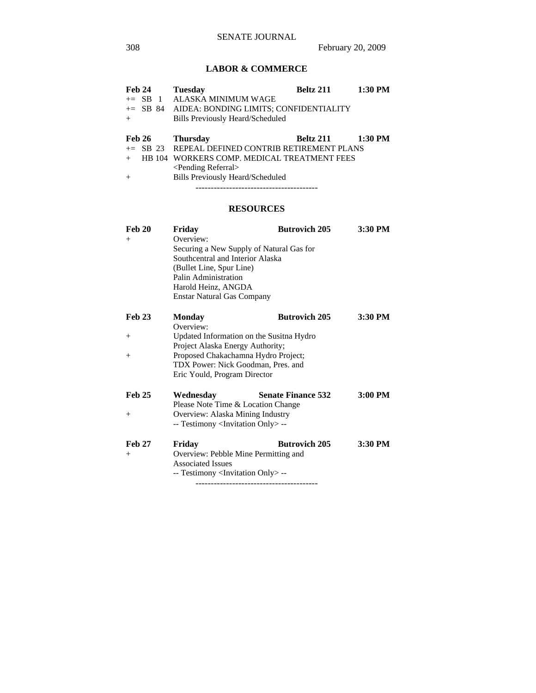# **LABOR & COMMERCE**

| Feb 24        |  | <b>Tuesday</b>                                   | Beltz 211 | 1:30 PM |
|---------------|--|--------------------------------------------------|-----------|---------|
| $\pm$ SB 1    |  | ALASKA MINIMUM WAGE                              |           |         |
|               |  | += SB 84 AIDEA: BONDING LIMITS; CONFIDENTIALITY  |           |         |
| $+$           |  | <b>Bills Previously Heard/Scheduled</b>          |           |         |
|               |  |                                                  |           |         |
| <b>Feb 26</b> |  | <b>Thursday</b>                                  | Beltz 211 | 1:30 PM |
|               |  | += SB 23 REPEAL DEFINED CONTRIB RETIREMENT PLANS |           |         |
|               |  | HB 104 WORKERS COMP. MEDICAL TREATMENT FEES      |           |         |
|               |  | $\le$ Pending Referral $>$                       |           |         |
| $+$           |  | <b>Bills Previously Heard/Scheduled</b>          |           |         |
|               |  |                                                  |           |         |

# **RESOURCES**

| <b>Feb 20</b> | Friday                                            | <b>Butrovich 205</b>                     | 3:30 PM   |
|---------------|---------------------------------------------------|------------------------------------------|-----------|
| $+$           | Overview:                                         |                                          |           |
|               | Securing a New Supply of Natural Gas for          |                                          |           |
|               | Southcentral and Interior Alaska                  |                                          |           |
|               | (Bullet Line, Spur Line)                          |                                          |           |
|               | Palin Administration                              |                                          |           |
|               | Harold Heinz, ANGDA                               |                                          |           |
|               | <b>Enstar Natural Gas Company</b>                 |                                          |           |
| <b>Feb 23</b> | <b>Monday</b>                                     | <b>Butrovich 205</b>                     | 3:30 PM   |
|               | Overview:                                         |                                          |           |
| $^{+}$        |                                                   | Updated Information on the Susitna Hydro |           |
|               | Project Alaska Energy Authority;                  |                                          |           |
| $^{+}$        |                                                   | Proposed Chakachamna Hydro Project;      |           |
|               |                                                   | TDX Power: Nick Goodman, Pres. and       |           |
|               | Eric Yould, Program Director                      |                                          |           |
| <b>Feb 25</b> | Wednesday                                         | <b>Senate Finance 532</b>                | $3:00$ PM |
|               |                                                   | Please Note Time & Location Change       |           |
| $^{+}$        | Overview: Alaska Mining Industry                  |                                          |           |
|               | -- Testimony <invitation only=""> --</invitation> |                                          |           |
| <b>Feb 27</b> | Friday                                            | <b>Butrovich 205</b>                     | 3:30 PM   |
| $+$           |                                                   | Overview: Pebble Mine Permitting and     |           |
|               | <b>Associated Issues</b>                          |                                          |           |
|               | -- Testimony <invitation only=""> --</invitation> |                                          |           |
|               |                                                   |                                          |           |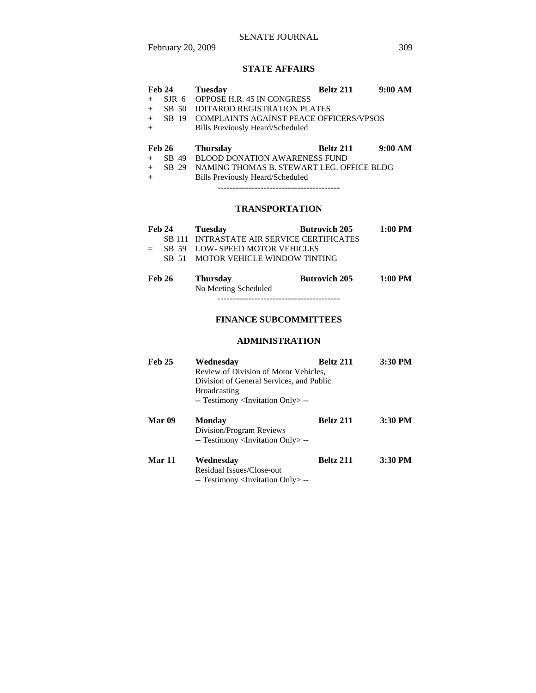### SENATE JOURNAL

February 20, 2009 309

### **STATE AFFAIRS**

| <b>Feb 24</b> |                  | <b>Tuesday</b>                            | Beltz 211 | 9:00 AM |
|---------------|------------------|-------------------------------------------|-----------|---------|
| $^{+}$        | SIR <sub>6</sub> | <b>OPPOSE H.R. 45 IN CONGRESS</b>         |           |         |
| $+$           | SB 50            | IDITAROD REGISTRATION PLATES              |           |         |
| $+$           | SB 19            | COMPLAINTS AGAINST PEACE OFFICERS/VPSOS   |           |         |
|               |                  | Bills Previously Heard/Scheduled          |           |         |
|               |                  |                                           |           |         |
|               |                  |                                           |           |         |
| <b>Feb 26</b> |                  | <b>Thursday</b>                           | Beltz 211 | 9:00 AM |
| $^{+}$        | SB 49            | BLOOD DONATION AWARENESS FUND             |           |         |
| $+$           | SB 29            | NAMING THOMAS B. STEWART LEG. OFFICE BLDG |           |         |
|               |                  | Bills Previously Heard/Scheduled          |           |         |

# **TRANSPORTATION**

|  | Feb 24 Tuesday                             | <b>Butrovich 205</b> | $1:00 \text{ PM}$ |
|--|--------------------------------------------|----------------------|-------------------|
|  | SB 111 INTRASTATE AIR SERVICE CERTIFICATES |                      |                   |
|  | $=$ SB 59 LOW-SPEED MOTOR VEHICLES         |                      |                   |
|  | SB 51 MOTOR VEHICLE WINDOW TINTING         |                      |                   |
|  |                                            |                      |                   |

| <b>Feb 26</b> | <b>Thursday</b>      | <b>Butrovich 205</b> | $1:00$ PM |
|---------------|----------------------|----------------------|-----------|
|               | No Meeting Scheduled |                      |           |
|               |                      |                      |           |

# **FINANCE SUBCOMMITTEES**

#### **ADMINISTRATION**

| <b>Feb 25</b> | Wednesday                                                                     | <b>Beltz 211</b> | 3:30 PM |
|---------------|-------------------------------------------------------------------------------|------------------|---------|
|               | Review of Division of Motor Vehicles,                                         |                  |         |
|               | Division of General Services, and Public                                      |                  |         |
|               | <b>Broadcasting</b>                                                           |                  |         |
|               | -- Testimony <invitation only=""> --</invitation>                             |                  |         |
| Mar 09        | Monday                                                                        | Beltz 211        | 3:30 PM |
|               | Division/Program Reviews<br>-- Testimony <invitation only=""> --</invitation> |                  |         |
| Mar 11        | Wednesday                                                                     | <b>Beltz 211</b> | 3:30 PM |
|               | Residual Issues/Close-out                                                     |                  |         |
|               | -- Testimony <invitation only=""> --</invitation>                             |                  |         |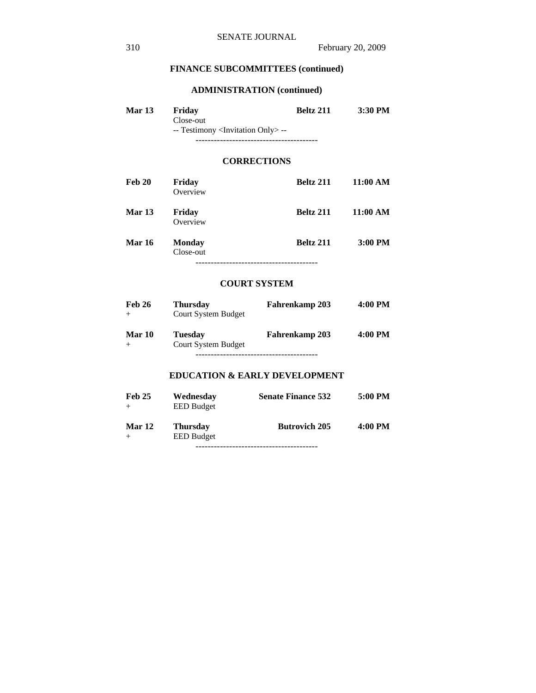# **ADMINISTRATION (continued)**

| <b>Mar 13</b> | Friday                                            | Beltz 211 | 3:30 PM |
|---------------|---------------------------------------------------|-----------|---------|
|               | Close-out                                         |           |         |
|               | -- Testimony <invitation only=""> --</invitation> |           |         |
|               |                                                   |           |         |

### **CORRECTIONS**

| Feb 20        | Friday<br>Overview         | Beltz 211 | 11:00 AM |
|---------------|----------------------------|-----------|----------|
| Mar 13        | Friday<br>Overview         | Beltz 211 | 11:00 AM |
| <b>Mar 16</b> | <b>Monday</b><br>Close-out | Beltz 211 | 3:00 PM  |
|               |                            |           |          |

#### **COURT SYSTEM**

| <b>Feb 26</b> | <b>Thursday</b><br><b>Court System Budget</b> | Fahrenkamp 203        | 4:00 PM |
|---------------|-----------------------------------------------|-----------------------|---------|
| <b>Mar 10</b> | <b>Tuesday</b><br><b>Court System Budget</b>  | <b>Fahrenkamp 203</b> | 4:00 PM |
|               |                                               |                       |         |

# **EDUCATION & EARLY DEVELOPMENT**

| <b>Feb 25</b><br>$+$ | Wednesday<br><b>EED</b> Budget       | <b>Senate Finance 532</b> | 5:00 PM |
|----------------------|--------------------------------------|---------------------------|---------|
| <b>Mar 12</b><br>$+$ | <b>Thursday</b><br><b>EED</b> Budget | <b>Butrovich 205</b>      | 4:00 PM |
|                      |                                      |                           |         |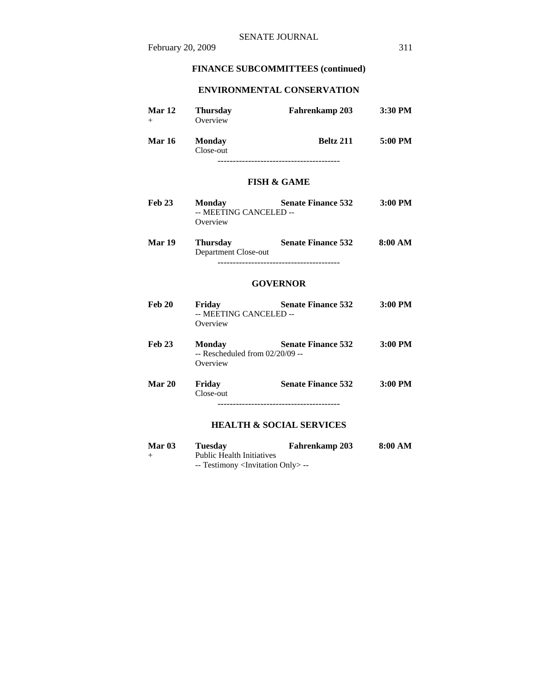## **ENVIRONMENTAL CONSERVATION**

| <b>Mar 12</b> | <b>Thursday</b><br>Overview | <b>Fahrenkamp 203</b> | $3:30$ PM |
|---------------|-----------------------------|-----------------------|-----------|
| <b>Mar 16</b> | <b>Monday</b><br>Close-out  | <b>Beltz 211</b>      | 5:00 PM   |
|               |                             |                       |           |

### **FISH & GAME**

- Feb 23 Monday Senate Finance 532 3:00 PM -- MEETING CANCELED -- Overview
- **Mar 19 Thursday Senate Finance 532 8:00 AM**  Department Close-out ----------------------------------------

#### **GOVERNOR**

| <b>Feb 20</b> | Friday<br>-- MEETING CANCELED --<br>Overview            | <b>Senate Finance 532</b> | $3:00$ PM |
|---------------|---------------------------------------------------------|---------------------------|-----------|
| <b>Feb 23</b> | Monday<br>$-$ Rescheduled from $02/20/09 -$<br>Overview | <b>Senate Finance 532</b> | $3:00$ PM |
| Mar 20        | Friday<br>Close-out                                     | <b>Senate Finance 532</b> | $3:00$ PM |
|               |                                                         |                           |           |

### **HEALTH & SOCIAL SERVICES**

| <b>Mar 03</b> | Tuesdav                                              | <b>Fahrenkamp 203</b> | 8:00 AM |
|---------------|------------------------------------------------------|-----------------------|---------|
| —             | <b>Public Health Initiatives</b>                     |                       |         |
|               | $-$ Testimony $\langle$ Invitation Only $\rangle$ -- |                       |         |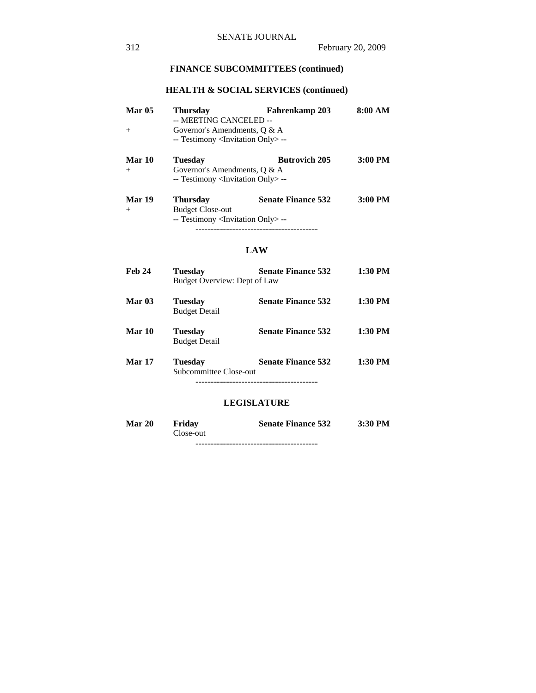# **HEALTH & SOCIAL SERVICES (continued)**

| <b>Mar 05</b> | <b>Thursday</b><br>-- MEETING CANCELED --                                                 | Fahrenkamp 203            | 8:00 AM   |  |  |
|---------------|-------------------------------------------------------------------------------------------|---------------------------|-----------|--|--|
| $+$           | Governor's Amendments, $\theta \& A$                                                      |                           |           |  |  |
|               | -- Testimony <invitation only=""> --</invitation>                                         |                           |           |  |  |
| Mar 10        | <b>Tuesday</b>                                                                            | <b>Butrovich 205</b>      | 3:00 PM   |  |  |
| $+$           | Governor's Amendments, $\theta \& A$<br>-- Testimony <invitation only=""> --</invitation> |                           |           |  |  |
| Mar 19        | <b>Thursday</b>                                                                           | <b>Senate Finance 532</b> | $3:00$ PM |  |  |
| $+$           | <b>Budget Close-out</b>                                                                   |                           |           |  |  |
|               | -- Testimony <invitation only=""> --</invitation>                                         |                           |           |  |  |
|               |                                                                                           |                           |           |  |  |

#### **LAW**

| Feb 24        | <b>Tuesday</b><br>Budget Overview: Dept of Law | <b>Senate Finance 532</b> | 1:30 PM   |
|---------------|------------------------------------------------|---------------------------|-----------|
| <b>Mar 03</b> | <b>Tuesday</b><br><b>Budget Detail</b>         | <b>Senate Finance 532</b> | 1:30 PM   |
| Mar 10        | <b>Tuesday</b><br><b>Budget Detail</b>         | <b>Senate Finance 532</b> | 1:30 PM   |
| <b>Mar 17</b> | <b>Tuesday</b><br>Subcommittee Close-out       | <b>Senate Finance 532</b> | $1:30$ PM |

### **LEGISLATURE**

| <b>Mar 20</b> | Friday    | <b>Senate Finance 532</b> | $3:30$ PM |
|---------------|-----------|---------------------------|-----------|
|               | Close-out |                           |           |
|               |           |                           |           |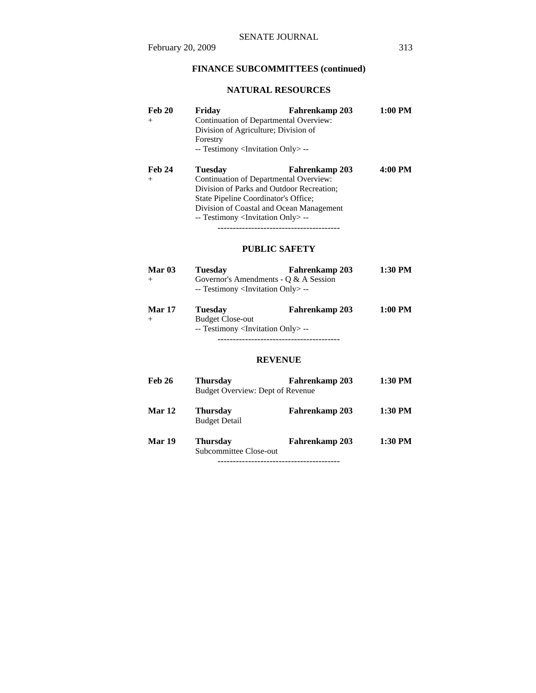# **NATURAL RESOURCES**

| <b>Feb 20</b><br>$^{+}$ | Friday<br>Division of Agriculture; Division of<br>Forestry<br>-- Testimony <invitation only=""> --</invitation> | Fahrenkamp 203<br>Continuation of Departmental Overview:                                                                                          | $1:00$ PM |
|-------------------------|-----------------------------------------------------------------------------------------------------------------|---------------------------------------------------------------------------------------------------------------------------------------------------|-----------|
| <b>Feb 24</b><br>$^{+}$ | Tuesdav<br>State Pipeline Coordinator's Office;<br>-- Testimony <invitation only=""> --</invitation>            | Fahrenkamp 203<br>Continuation of Departmental Overview:<br>Division of Parks and Outdoor Recreation;<br>Division of Coastal and Ocean Management | 4:00 PM   |

### **PUBLIC SAFETY**

| Mar 03        | <b>Tuesday</b>                                                                             | <b>Fahrenkamp 203</b> | 1:30 PM |
|---------------|--------------------------------------------------------------------------------------------|-----------------------|---------|
|               | Governor's Amendments - O & A Session<br>-- Testimony <invitation only=""> --</invitation> |                       |         |
| <b>Mar 17</b> | <b>Tuesday</b><br><b>Budget Close-out</b>                                                  | <b>Fahrenkamp 203</b> | 1:00 PM |

-- Testimony <Invitation Only> --

----------------------------------------

### **REVENUE**

| <b>Feb 26</b> | <b>Thursday</b><br>Budget Overview: Dept of Revenue | Fahrenkamp 203 | 1:30 PM |
|---------------|-----------------------------------------------------|----------------|---------|
| Mar 12        | <b>Thursday</b><br><b>Budget Detail</b>             | Fahrenkamp 203 | 1:30 PM |
| Mar 19        | <b>Thursday</b><br>Subcommittee Close-out           | Fahrenkamp 203 | 1:30 PM |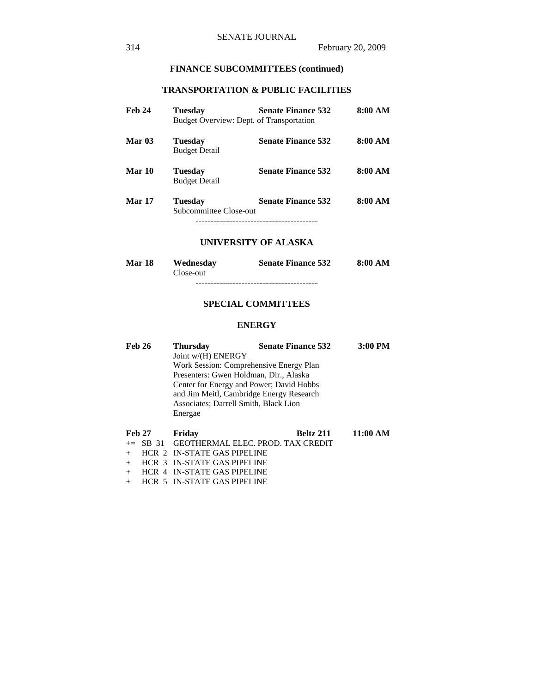# **TRANSPORTATION & PUBLIC FACILITIES**

| <b>Feb 24</b> | <b>Tuesday</b><br>Budget Overview: Dept. of Transportation | <b>Senate Finance 532</b> | 8:00 AM |
|---------------|------------------------------------------------------------|---------------------------|---------|
| <b>Mar 03</b> | <b>Tuesday</b><br><b>Budget Detail</b>                     | <b>Senate Finance 532</b> | 8:00 AM |
| Mar 10        | <b>Tuesday</b><br><b>Budget Detail</b>                     | <b>Senate Finance 532</b> | 8:00 AM |
| <b>Mar 17</b> | <b>Tuesday</b><br>Subcommittee Close-out                   | <b>Senate Finance 532</b> | 8:00 AM |

### **UNIVERSITY OF ALASKA**

| Mar 18 | Wednesday | <b>Senate Finance 532</b> | 8:00 AM |
|--------|-----------|---------------------------|---------|
|        | Close-out |                           |         |
|        |           |                           |         |

### **SPECIAL COMMITTEES**

### **ENERGY**

| <b>Feb 26</b> | <b>Thursday</b>                          | <b>Senate Finance 532</b>  | 3:00 PM  |
|---------------|------------------------------------------|----------------------------|----------|
|               | Joint w/(H) ENERGY                       |                            |          |
|               | Work Session: Comprehensive Energy Plan  |                            |          |
|               | Presenters: Gwen Holdman, Dir., Alaska   |                            |          |
|               | Center for Energy and Power; David Hobbs |                            |          |
|               | and Jim Meitl, Cambridge Energy Research |                            |          |
|               | Associates: Darrell Smith, Black Lion    |                            |          |
|               | Energae                                  |                            |          |
|               |                                          |                            |          |
| <b>Feb 27</b> | Friday                                   | <b>Beltz 211</b>           | 11:00 AM |
| $-$ CD        |                                          | <b>TAV CDENIT</b><br>DDAN. |          |

| $\Gamma$ CD 41 $\Gamma$ 110ay |                                               | DERE $\angle 211$ $\angle 11.00$ AR |  |
|-------------------------------|-----------------------------------------------|-------------------------------------|--|
|                               | $\pm$ SB 31 GEOTHERMAL ELEC. PROD. TAX CREDIT |                                     |  |
|                               | $+$ HCR 2 IN-STATE GAS PIPELINE               |                                     |  |
|                               | + HCR 3 IN-STATE GAS PIPELINE                 |                                     |  |
|                               | $+$ HCR 4 IN-STATE GAS PIPELINE               |                                     |  |
|                               | $+$ HCR 5 IN-STATE GAS PIPELINE               |                                     |  |
|                               |                                               |                                     |  |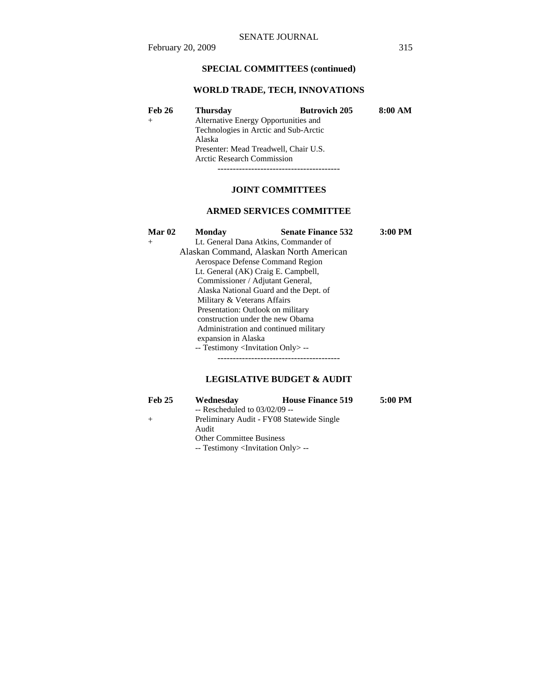# **SPECIAL COMMITTEES (continued)**

# **WORLD TRADE, TECH, INNOVATIONS**

| <b>Feb 26</b> | <b>Thursday</b>                       | <b>Butrovich 205</b> | 8:00 AM |
|---------------|---------------------------------------|----------------------|---------|
|               | Alternative Energy Opportunities and  |                      |         |
|               | Technologies in Arctic and Sub-Arctic |                      |         |
|               | Alaska                                |                      |         |
|               | Presenter: Mead Treadwell, Chair U.S. |                      |         |
|               | <b>Arctic Research Commission</b>     |                      |         |
|               |                                       |                      |         |

### **JOINT COMMITTEES**

### **ARMED SERVICES COMMITTEE**

| Mar <sub>02</sub> | <b>Monday</b>                                     | <b>Senate Finance 532</b>               | $3:00$ PM |
|-------------------|---------------------------------------------------|-----------------------------------------|-----------|
| $^{+}$            |                                                   | Lt. General Dana Atkins, Commander of   |           |
|                   |                                                   | Alaskan Command, Alaskan North American |           |
|                   |                                                   | Aerospace Defense Command Region        |           |
|                   |                                                   | Lt. General (AK) Craig E. Campbell,     |           |
|                   | Commissioner / Adjutant General,                  |                                         |           |
|                   | Alaska National Guard and the Dept. of            |                                         |           |
|                   | Military & Veterans Affairs                       |                                         |           |
|                   | Presentation: Outlook on military                 |                                         |           |
|                   | construction under the new Obama                  |                                         |           |
|                   |                                                   | Administration and continued military   |           |
|                   | expansion in Alaska                               |                                         |           |
|                   | -- Testimony <invitation only=""> --</invitation> |                                         |           |
|                   |                                                   |                                         |           |

## **LEGISLATIVE BUDGET & AUDIT**

| <b>Feb 25</b> | Wednesday                                         | <b>House Finance 519</b>                  | 5:00 PM |
|---------------|---------------------------------------------------|-------------------------------------------|---------|
|               | $-$ Rescheduled to 03/02/09 $-$                   |                                           |         |
|               |                                                   | Preliminary Audit - FY08 Statewide Single |         |
|               | Audit                                             |                                           |         |
|               | <b>Other Committee Business</b>                   |                                           |         |
|               | -- Testimony <invitation only=""> --</invitation> |                                           |         |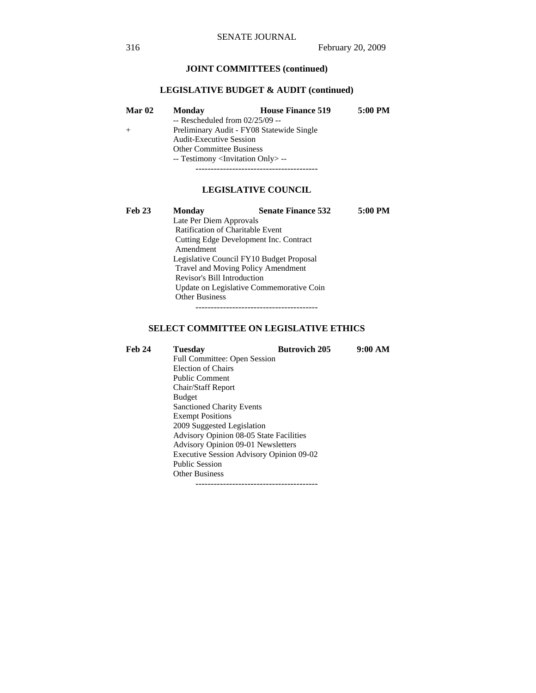## **JOINT COMMITTEES (continued)**

#### **LEGISLATIVE BUDGET & AUDIT (continued)**

| Mar 02 | <b>Monday</b>                                     | <b>House Finance 519</b>                  | 5:00 PM |
|--------|---------------------------------------------------|-------------------------------------------|---------|
|        | $-$ Rescheduled from 02/25/09 $-$                 |                                           |         |
| $^{+}$ |                                                   | Preliminary Audit - FY08 Statewide Single |         |
|        | <b>Audit-Executive Session</b>                    |                                           |         |
|        | <b>Other Committee Business</b>                   |                                           |         |
|        | -- Testimony <invitation only=""> --</invitation> |                                           |         |
|        |                                                   |                                           |         |

### **LEGISLATIVE COUNCIL**

| <b>Feb 23</b> | <b>Monday</b>                            | <b>Senate Finance 532</b>               | 5:00 PM |  |
|---------------|------------------------------------------|-----------------------------------------|---------|--|
|               | Late Per Diem Approvals                  |                                         |         |  |
|               |                                          | <b>Ratification of Charitable Event</b> |         |  |
|               | Cutting Edge Development Inc. Contract   |                                         |         |  |
|               | Amendment                                |                                         |         |  |
|               | Legislative Council FY10 Budget Proposal |                                         |         |  |
|               | Travel and Moving Policy Amendment       |                                         |         |  |
|               | Revisor's Bill Introduction              |                                         |         |  |
|               | Update on Legislative Commemorative Coin |                                         |         |  |
|               | <b>Other Business</b>                    |                                         |         |  |
|               |                                          |                                         |         |  |

### **SELECT COMMITTEE ON LEGISLATIVE ETHICS**

Feb 24 Tuesday Butrovich 205 9:00 AM Full Committee: Open Session Election of Chairs Public Comment Chair/Staff Report Budget Sanctioned Charity Events Exempt Positions 2009 Suggested Legislation Advisory Opinion 08-05 State Facilities Advisory Opinion 09-01 Newsletters Executive Session Advisory Opinion 09-02 Public Session Other Business ----------------------------------------